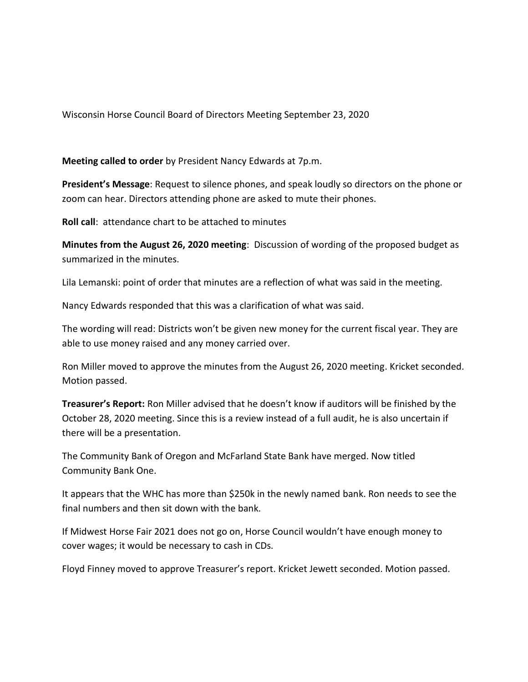Wisconsin Horse Council Board of Directors Meeting September 23, 2020

**Meeting called to order** by President Nancy Edwards at 7p.m.

**President's Message**: Request to silence phones, and speak loudly so directors on the phone or zoom can hear. Directors attending phone are asked to mute their phones.

**Roll call**: attendance chart to be attached to minutes

**Minutes from the August 26, 2020 meeting**: Discussion of wording of the proposed budget as summarized in the minutes.

Lila Lemanski: point of order that minutes are a reflection of what was said in the meeting.

Nancy Edwards responded that this was a clarification of what was said.

The wording will read: Districts won't be given new money for the current fiscal year. They are able to use money raised and any money carried over.

Ron Miller moved to approve the minutes from the August 26, 2020 meeting. Kricket seconded. Motion passed.

**Treasurer's Report:** Ron Miller advised that he doesn't know if auditors will be finished by the October 28, 2020 meeting. Since this is a review instead of a full audit, he is also uncertain if there will be a presentation.

The Community Bank of Oregon and McFarland State Bank have merged. Now titled Community Bank One.

It appears that the WHC has more than \$250k in the newly named bank. Ron needs to see the final numbers and then sit down with the bank.

If Midwest Horse Fair 2021 does not go on, Horse Council wouldn't have enough money to cover wages; it would be necessary to cash in CDs.

Floyd Finney moved to approve Treasurer's report. Kricket Jewett seconded. Motion passed.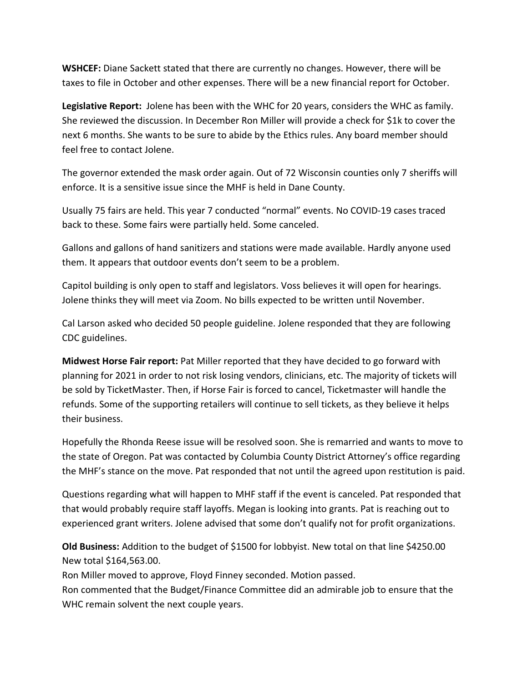**WSHCEF:** Diane Sackett stated that there are currently no changes. However, there will be taxes to file in October and other expenses. There will be a new financial report for October.

**Legislative Report:** Jolene has been with the WHC for 20 years, considers the WHC as family. She reviewed the discussion. In December Ron Miller will provide a check for \$1k to cover the next 6 months. She wants to be sure to abide by the Ethics rules. Any board member should feel free to contact Jolene.

The governor extended the mask order again. Out of 72 Wisconsin counties only 7 sheriffs will enforce. It is a sensitive issue since the MHF is held in Dane County.

Usually 75 fairs are held. This year 7 conducted "normal" events. No COVID-19 cases traced back to these. Some fairs were partially held. Some canceled.

Gallons and gallons of hand sanitizers and stations were made available. Hardly anyone used them. It appears that outdoor events don't seem to be a problem.

Capitol building is only open to staff and legislators. Voss believes it will open for hearings. Jolene thinks they will meet via Zoom. No bills expected to be written until November.

Cal Larson asked who decided 50 people guideline. Jolene responded that they are following CDC guidelines.

**Midwest Horse Fair report:** Pat Miller reported that they have decided to go forward with planning for 2021 in order to not risk losing vendors, clinicians, etc. The majority of tickets will be sold by TicketMaster. Then, if Horse Fair is forced to cancel, Ticketmaster will handle the refunds. Some of the supporting retailers will continue to sell tickets, as they believe it helps their business.

Hopefully the Rhonda Reese issue will be resolved soon. She is remarried and wants to move to the state of Oregon. Pat was contacted by Columbia County District Attorney's office regarding the MHF's stance on the move. Pat responded that not until the agreed upon restitution is paid.

Questions regarding what will happen to MHF staff if the event is canceled. Pat responded that that would probably require staff layoffs. Megan is looking into grants. Pat is reaching out to experienced grant writers. Jolene advised that some don't qualify not for profit organizations.

**Old Business:** Addition to the budget of \$1500 for lobbyist. New total on that line \$4250.00 New total \$164,563.00.

Ron Miller moved to approve, Floyd Finney seconded. Motion passed.

Ron commented that the Budget/Finance Committee did an admirable job to ensure that the WHC remain solvent the next couple years.